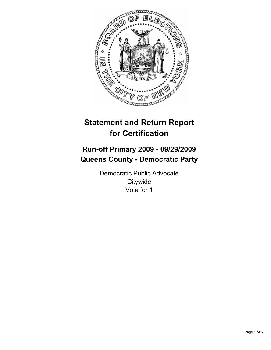

# **Statement and Return Report for Certification**

# **Run-off Primary 2009 - 09/29/2009 Queens County - Democratic Party**

Democratic Public Advocate **Citywide** Vote for 1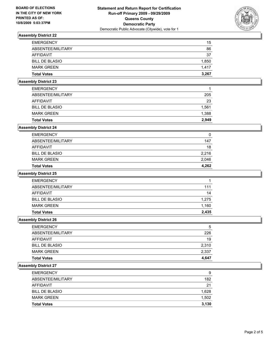

# **Assembly District 22**

| <b>EMERGENCY</b>      | 15    |
|-----------------------|-------|
| ABSENTEE/MILITARY     | 86    |
| AFFIDAVIT             | 37    |
| <b>BILL DE BLASIO</b> | 1,850 |
| <b>MARK GREEN</b>     | 1.417 |
| <b>Total Votes</b>    | 3,267 |

# **Assembly District 23**

| <b>Total Votes</b>    | 2.949 |
|-----------------------|-------|
| <b>MARK GREEN</b>     | 1,388 |
| <b>BILL DE BLASIO</b> | 1,561 |
| AFFIDAVIT             | 23    |
| ABSENTEE/MILITARY     | 205   |
| <b>EMERGENCY</b>      | 1     |

### **Assembly District 24**

| <b>Total Votes</b>    | 4.262 |
|-----------------------|-------|
| <b>MARK GREEN</b>     | 2.046 |
| <b>BILL DE BLASIO</b> | 2,216 |
| AFFIDAVIT             | 18    |
| ABSENTEE/MILITARY     | 147   |
| <b>EMERGENCY</b>      | 0     |

#### **Assembly District 25**

| <b>EMERGENCY</b>      |       |
|-----------------------|-------|
| ABSENTEE/MILITARY     | 111   |
| AFFIDAVIT             | 14    |
| <b>BILL DE BLASIO</b> | 1,275 |
| <b>MARK GREEN</b>     | 1,160 |
| <b>Total Votes</b>    | 2.435 |

#### **Assembly District 26**

| <b>EMERGENCY</b>      | 5     |
|-----------------------|-------|
| ABSENTEE/MILITARY     | 226   |
| <b>AFFIDAVIT</b>      | 19    |
| <b>BILL DE BLASIO</b> | 2,310 |
| <b>MARK GREEN</b>     | 2,337 |
| <b>Total Votes</b>    | 4.647 |

#### **Assembly District 27**

| <b>Total Votes</b>    | 3,130 |
|-----------------------|-------|
| <b>MARK GREEN</b>     | 1,502 |
| <b>BILL DE BLASIO</b> | 1,628 |
| AFFIDAVIT             | 21    |
| ABSENTEE/MILITARY     | 182   |
| <b>EMERGENCY</b>      | 9     |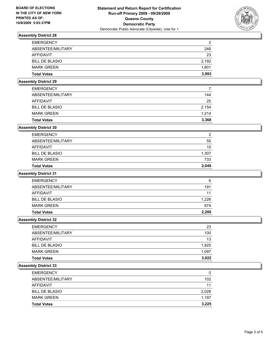

# **Assembly District 28**

| <b>EMERGENCY</b>      | 2     |
|-----------------------|-------|
| ABSENTEE/MILITARY     | 246   |
| AFFIDAVIT             | 23    |
| <b>BILL DE BLASIO</b> | 2.192 |
| <b>MARK GREEN</b>     | 1,801 |
| <b>Total Votes</b>    | 3,993 |

# **Assembly District 29**

| <b>EMERGENCY</b>      |       |
|-----------------------|-------|
| ABSENTEE/MILITARY     | 144   |
| AFFIDAVIT             | 25    |
| <b>BILL DE BLASIO</b> | 2.154 |
| <b>MARK GREEN</b>     | 1.214 |
| <b>Total Votes</b>    | 3.368 |

# **Assembly District 30**

| <b>Total Votes</b>    | 2,040 |
|-----------------------|-------|
| <b>MARK GREEN</b>     | 733   |
| <b>BILL DE BLASIO</b> | 1,307 |
| AFFIDAVIT             | 10    |
| ABSENTEE/MILITARY     | 55    |
| <b>EMERGENCY</b>      | 2     |

#### **Assembly District 31**

| <b>Total Votes</b>    | 2.200 |
|-----------------------|-------|
| <b>MARK GREEN</b>     | 974   |
| <b>BILL DE BLASIO</b> | 1,226 |
| <b>AFFIDAVIT</b>      | 11    |
| ABSENTEE/MILITARY     | 191   |
| <b>EMERGENCY</b>      | 6     |

#### **Assembly District 32**

| <b>EMERGENCY</b>      | 23    |
|-----------------------|-------|
| ABSENTEE/MILITARY     | 100   |
| <b>AFFIDAVIT</b>      | 13    |
| <b>BILL DE BLASIO</b> | 1,925 |
| <b>MARK GREEN</b>     | 1,097 |
| <b>Total Votes</b>    | 3,022 |

#### **Assembly District 33**

| <b>Total Votes</b>    | 3.225 |
|-----------------------|-------|
| <b>MARK GREEN</b>     | 1.197 |
| <b>BILL DE BLASIO</b> | 2,028 |
| AFFIDAVIT             | 11    |
| ABSENTEE/MILITARY     | 102   |
| <b>EMERGENCY</b>      | 0     |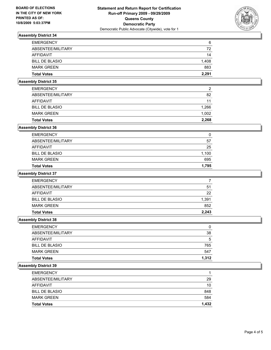

# **Assembly District 34**

| <b>EMERGENCY</b>      | 6     |
|-----------------------|-------|
| ABSENTEE/MILITARY     | 72    |
| AFFIDAVIT             | 14    |
| <b>BILL DE BLASIO</b> | 1,408 |
| <b>MARK GREEN</b>     | 883   |
| <b>Total Votes</b>    | 2,291 |

# **Assembly District 35**

| <b>EMERGENCY</b>      | 2     |
|-----------------------|-------|
| ABSENTEE/MILITARY     | 82    |
| AFFIDAVIT             | 11    |
| <b>BILL DE BLASIO</b> | 1.266 |
| <b>MARK GREEN</b>     | 1,002 |
| <b>Total Votes</b>    | 2.268 |

### **Assembly District 36**

| <b>Total Votes</b>    | 1,795 |
|-----------------------|-------|
| <b>MARK GREEN</b>     | 695   |
| <b>BILL DE BLASIO</b> | 1,100 |
| AFFIDAVIT             | 25    |
| ABSENTEE/MILITARY     | 57    |
| <b>EMERGENCY</b>      | 0     |

#### **Assembly District 37**

| <b>EMERGENCY</b>      |       |
|-----------------------|-------|
| ABSENTEE/MILITARY     | 51    |
| AFFIDAVIT             | 22    |
| <b>BILL DE BLASIO</b> | 1,391 |
| <b>MARK GREEN</b>     | 852   |
| <b>Total Votes</b>    | 2.243 |

#### **Assembly District 38**

| <b>EMERGENCY</b>      | 0     |
|-----------------------|-------|
| ABSENTEE/MILITARY     | 38    |
| AFFIDAVIT             | 5     |
| <b>BILL DE BLASIO</b> | 765   |
| <b>MARK GREEN</b>     | 547   |
| <b>Total Votes</b>    | 1.312 |

#### **Assembly District 39**

| <b>Total Votes</b>    | 1.432 |
|-----------------------|-------|
|                       |       |
| <b>MARK GREEN</b>     | 584   |
| <b>BILL DE BLASIO</b> | 848   |
| <b>AFFIDAVIT</b>      | 10    |
| ABSENTEE/MILITARY     | 29    |
| <b>EMERGENCY</b>      |       |